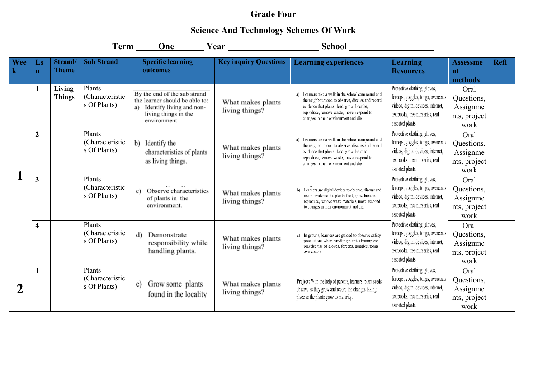## **Grade Four**

## **Science And Technology Schemes Of Work**

|                |                         |                         |                                           |                                                                                                                                         |                                     | Term One Year Year School                                                                                                                                                                                                                  |                                                                                                                                                                |                                                        |             |
|----------------|-------------------------|-------------------------|-------------------------------------------|-----------------------------------------------------------------------------------------------------------------------------------------|-------------------------------------|--------------------------------------------------------------------------------------------------------------------------------------------------------------------------------------------------------------------------------------------|----------------------------------------------------------------------------------------------------------------------------------------------------------------|--------------------------------------------------------|-------------|
| Wee<br>$\bf k$ | Ls<br>$\mathbf n$       | Strand/<br><b>Theme</b> | <b>Sub Strand</b>                         | <b>Specific learning</b><br>outcomes                                                                                                    | <b>Key inquiry Questions</b>        | <b>Learning experiences</b>                                                                                                                                                                                                                | <b>Learning</b><br><b>Resources</b>                                                                                                                            | <b>Assessme</b><br>nt<br>methods                       | <b>Refl</b> |
|                |                         | Living<br><b>Things</b> | Plants<br>(Characteristic<br>s Of Plants) | By the end of the sub strand<br>the learner should be able to:<br>Identify living and non-<br>a)<br>living things in the<br>environment | What makes plants<br>living things? | a) Learners take a walk in the school compound and<br>the neighbourhood to observe, discuss and record<br>evidence that plants: feed, grow, breathe,<br>reproduce, remove waste, move, respond to<br>changes in their environment and die. | Protective clothing, gloves,<br>forceps, goggles, tongs, overcoats<br>videos, digital devices, internet,<br>textbooks, tree nurseries, real<br>assorted plants | Oral<br>Questions,<br>Assignme<br>nts, project<br>work |             |
|                | $\overline{2}$          |                         | Plants<br>(Characteristic<br>s Of Plants) | Identify the<br>b)<br>characteristics of plants<br>as living things.                                                                    | What makes plants<br>living things? | a) Learners take a walk in the school compound and<br>the neighbourhood to observe, discuss and record<br>evidence that plants: feed, grow, breathe,<br>reproduce, remove waste, move, respond to<br>changes in their environment and die. | Protective clothing, gloves,<br>forceps, goggles, tongs, overcoats<br>videos, digital devices, internet,<br>textbooks, tree nurseries, real<br>assorted plants | Oral<br>Questions,<br>Assignme<br>nts, project<br>work |             |
|                | 3                       |                         | Plants<br>(Characteristic<br>s Of Plants) | c) Observe characteristics<br>of plants in the<br>environment.                                                                          | What makes plants<br>living things? | b) Learners use digital devices to observe, discuss and<br>record evidence that plants: feed, grow, breathe,<br>reproduce, remove waste materials, move, respond<br>to changes in their environment and die.                               | Protective clothing, gloves,<br>forceps, goggles, tongs, overcoats<br>videos, digital devices, internet,<br>textbooks, tree nurseries, real<br>assorted plants | Oral<br>Questions,<br>Assignme<br>nts, project<br>work |             |
|                | $\overline{\mathbf{4}}$ |                         | Plants<br>(Characteristic<br>s Of Plants) | Demonstrate<br>d)<br>responsibility while<br>handling plants.                                                                           | What makes plants<br>living things? | c) In groups, learners are guided to observe safety<br>precautions when handling plants (Examples:<br>practise use of gloves, forceps, goggles, tongs,<br>overcoats)                                                                       | Protective clothing, gloves,<br>forceps, goggles, tongs, overcoats<br>videos, digital devices, internet,<br>textbooks, tree nurseries, real<br>assorted plants | Oral<br>Questions,<br>Assignme<br>nts, project<br>work |             |
| 2              |                         |                         | Plants<br>(Characteristic<br>s Of Plants) | e) Grow some plants<br>found in the locality                                                                                            | What makes plants<br>living things? | Project: With the help of parents, learners' plant seeds,<br>observe as they grow and record the changes taking<br>place as the plants grow to maturity.                                                                                   | Protective clothing, gloves,<br>forceps, goggles, tongs, overcoats<br>videos, digital devices, internet,<br>textbooks, tree nurseries, real<br>assorted plants | Oral<br>Questions,<br>Assignme<br>nts, project<br>work |             |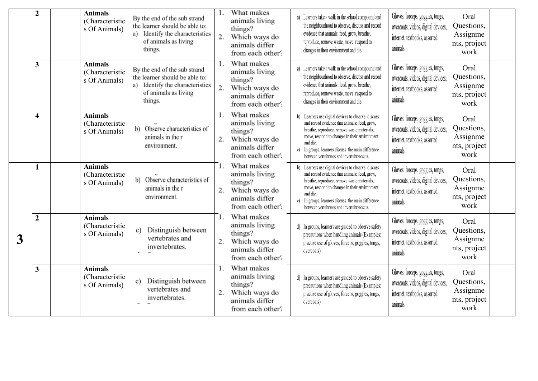|   | $\overline{2}$ | <b>Animals</b><br>(Characteristic<br>s Of Animals) | By the end of the sub strand<br>the learner should be able to:<br>a) Identify the characteristics<br>of animals as living<br>things. | 2.       | What makes<br>animals living<br>things?<br>Which ways do<br>animals differ<br>from each other? | a) Learners take a walk in the school compound and<br>the neighbourhood to observe, discuss and record<br>evidence that animals: feed, grow, breathe,<br>reproduce, remove waste, move, respond to<br>changes in their environment and die.                                                                         | Gloves, forceps, goggles, tongs,<br>overcoats, videos, digital devices,<br>internet, textbooks, assorted<br>animals | Oral<br>Questions,<br>Assignme<br>nts, project<br>work |  |
|---|----------------|----------------------------------------------------|--------------------------------------------------------------------------------------------------------------------------------------|----------|------------------------------------------------------------------------------------------------|---------------------------------------------------------------------------------------------------------------------------------------------------------------------------------------------------------------------------------------------------------------------------------------------------------------------|---------------------------------------------------------------------------------------------------------------------|--------------------------------------------------------|--|
|   | 3              | <b>Animals</b><br>(Characteristic<br>s Of Animals) | By the end of the sub strand<br>the learner should be able to:<br>a) Identify the characteristics<br>of animals as living<br>things. | 2.       | What makes<br>animals living<br>things?<br>Which ways do<br>animals differ<br>from each other? | a) Learners take a walk in the school compound and<br>the neighbourhood to observe, discuss and record<br>evidence that animals: feed, grow, breathe,<br>reproduce, remove waste, move, respond to<br>changes in their environment and die.                                                                         | Gloves, forceps, goggles, tongs,<br>overcoats, videos, digital devices,<br>internet, textbooks, assorted<br>animals | Oral<br>Questions,<br>Assignme<br>nts, project<br>work |  |
|   | 4              | <b>Animals</b><br>(Characteristic<br>s Of Animals) | b) Observe characteristics of<br>animals in the r<br>environment.                                                                    | 2.       | What makes<br>animals living<br>things?<br>Which ways do<br>animals differ<br>from each other? | b) Learners use digital devices to observe, discuss<br>and record evidence that animals: feed, grow,<br>breathe, reproduce, remove waste materials,<br>move, respond to changes in their environment<br>and die.<br>c) In groups, learners discuss the main difference<br>between vertebrates and invertebratescts. | Gloves, forceps, goggles, tongs,<br>overcoats, videos, digital devices,<br>internet, textbooks, assorted<br>animals | Oral<br>Questions,<br>Assignme<br>nts, project<br>work |  |
|   | 1              | <b>Animals</b><br>(Characteristic<br>s Of Animals) | b) Observe characteristics of<br>animals in the r<br>environment.                                                                    | 2.       | What makes<br>animals living<br>things?<br>Which ways do<br>animals differ<br>from each other? | b) Learners use digital devices to observe, discuss<br>and record evidence that animals: feed, grow,<br>breathe, reproduce, remove waste materials,<br>move, respond to changes in their environment<br>and die.<br>c) In groups, learners discuss the main difference<br>between vertebrates and invertebratescts. | Gloves, forceps, goggles, tongs,<br>overcoats, videos, digital devices,<br>internet, textbooks, assorted<br>animals | Oral<br>Questions,<br>Assignme<br>nts, project<br>work |  |
| 3 | $\overline{2}$ | <b>Animals</b><br>(Characteristic<br>s Of Animals) | Distinguish between<br>c)<br>vertebrates and<br>invertebrates.                                                                       | 1.<br>2. | What makes<br>animals living<br>things?<br>Which ways do<br>animals differ<br>from each other? | d) In groups, learners are guided to observe safety<br>precautions when handling animals (Examples:<br>practise use of gloves, forceps, goggles, tongs,<br>overcoats)                                                                                                                                               | Gloves, forceps, goggles, tongs,<br>overcoats, videos, digital devices,<br>internet, textbooks, assorted<br>animals | Oral<br>Questions,<br>Assignme<br>nts, project<br>work |  |
|   | 3              | <b>Animals</b><br>(Characteristic<br>s Of Animals) | Distinguish between<br>c)<br>vertebrates and<br>invertebrates.                                                                       | 1.<br>2. | What makes<br>animals living<br>things?<br>Which ways do<br>animals differ<br>from each other? | d) In groups, learners are guided to observe safety<br>precautions when handling animals (Examples:<br>practise use of gloves, forceps, goggles, tongs,<br>overcoats)                                                                                                                                               | Gloves, forceps, goggles, tongs,<br>overcoats, videos, digital devices,<br>internet, textbooks, assorted<br>animals | Oral<br>Questions,<br>Assignme<br>nts, project<br>work |  |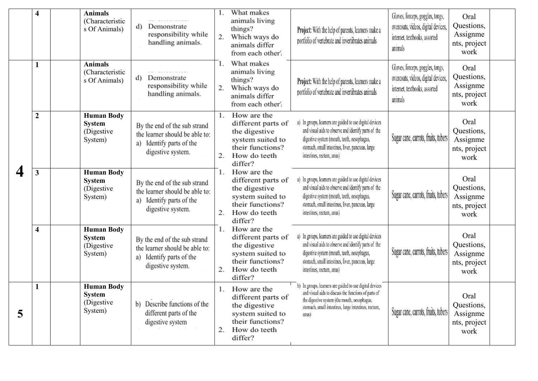|   | $\overline{\mathbf{4}}$ | <b>Animals</b><br>(Characteristic<br>s Of Animals)           | Demonstrate<br>d)<br>responsibility while<br>handling animals.                                                     | 2.       | What makes<br>animals living<br>things?<br>Which ways do<br>animals differ<br>from each other?                           | Project: With the help of parents, learners make a<br>portfolio of vertebrate and invertibrates animals                                                                                                                                           | Gloves, forceps, goggles, tongs,<br>overcoats, videos, digital devices,<br>internet, textbooks, assorted<br>animals | Oral<br>Questions,<br>Assignme<br>nts, project<br>work |
|---|-------------------------|--------------------------------------------------------------|--------------------------------------------------------------------------------------------------------------------|----------|--------------------------------------------------------------------------------------------------------------------------|---------------------------------------------------------------------------------------------------------------------------------------------------------------------------------------------------------------------------------------------------|---------------------------------------------------------------------------------------------------------------------|--------------------------------------------------------|
|   | 1                       | <b>Animals</b><br>(Characteristic<br>s Of Animals)           | Demonstrate<br>d)<br>responsibility while<br>handling animals.                                                     | 2.       | What makes<br>animals living<br>things?<br>Which ways do<br>animals differ<br>from each other?                           | <b>Project:</b> With the help of parents, learners make a<br>portfolio of vertebrate and invertibrates animals                                                                                                                                    | Gloves, forceps, goggles, tongs,<br>overcoats, videos, digital devices,<br>internet, textbooks, assorted<br>animals | Oral<br>Questions,<br>Assignme<br>nts, project<br>work |
|   | $\boldsymbol{2}$        | <b>Human Body</b><br><b>System</b><br>(Digestive)<br>System) | By the end of the sub strand<br>the learner should be able to:<br>Identify parts of the<br>a)<br>digestive system. | 1.<br>2. | How are the<br>different parts of<br>the digestive<br>system suited to<br>their functions?<br>How do teeth<br>differ?    | a) In groups, learners are guided to use digital devices<br>and visual aids to observe and identify parts of the<br>digestive system (mouth, teeth, oesophagus,<br>stomach, small intestines, liver, pancreas, large<br>intestines, rectum, anus) | Sugar cane, carrots, fruits, tubers                                                                                 | Oral<br>Questions,<br>Assignme<br>nts, project<br>work |
|   | 3                       | <b>Human Body</b><br><b>System</b><br>(Digestive)<br>System) | By the end of the sub strand<br>the learner should be able to:<br>Identify parts of the<br>a)<br>digestive system. | 1.<br>2. | How are the<br>different parts of<br>the digestive<br>system suited to<br>their functions?<br>How do teeth<br>differ?    | a) In groups, learners are guided to use digital devices<br>and visual aids to observe and identify parts of the<br>digestive system (mouth, teeth, oesophagus,<br>stomach, small intestines, liver, pancreas, large<br>intestines, rectum, anus) | Sugar cane, carrots, fruits, tubers                                                                                 | Oral<br>Questions,<br>Assignme<br>nts, project<br>work |
|   | $\overline{\mathbf{4}}$ | <b>Human Body</b><br><b>System</b><br>(Digestive)<br>System) | By the end of the sub strand<br>the learner should be able to:<br>a) Identify parts of the<br>digestive system.    | 1.<br>2. | How are the<br>different parts of<br>the digestive<br>system suited to<br>their functions?<br>How do teeth<br>differ?    | a) In groups, learners are guided to use digital devices<br>and visual aids to observe and identify parts of the<br>digestive system (mouth, teeth, oesophagus,<br>stomach, small intestines, liver, pancreas, large<br>intestines, rectum, anus) | Sugar cane, carrots, fruits, tubers                                                                                 | Oral<br>Questions,<br>Assignme<br>nts, project<br>work |
| 5 | 1                       | <b>Human Body</b><br><b>System</b><br>(Digestive)<br>System) | b) Describe functions of the<br>different parts of the<br>digestive system                                         | 2.       | 1. How are the<br>different parts of<br>the digestive<br>system suited to<br>their functions?<br>How do teeth<br>differ? | b) In groups, learners are guided to use digital devices<br>and visual aids to discuss the functions of parts of<br>the digestive system (the mouth, oesophagus,<br>stomach, small intestines, large intestines, rectum,<br>anus)                 | Sugar cane, carrots, fruits, tubers                                                                                 | Oral<br>Questions,<br>Assignme<br>nts, project<br>work |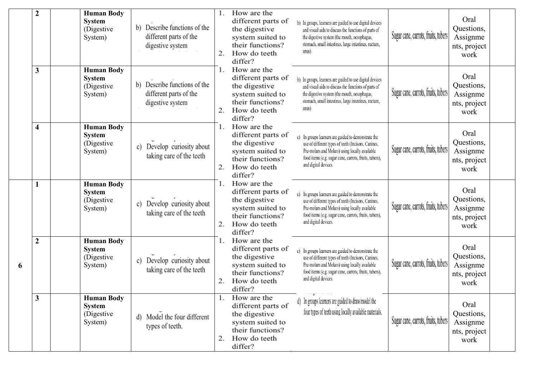|   | $\overline{2}$          | <b>Human Body</b><br><b>System</b><br>(Digestive)<br>System) | Describe functions of the<br>b)<br>different parts of the<br>digestive system | 2.       | How are the<br>different parts of<br>the digestive<br>system suited to<br>their functions?<br>How do teeth<br>differ?    | b) In groups, learners are guided to use digital devices<br>and visual aids to discuss the functions of parts of<br>the digestive system (the mouth, oesophagus,<br>stomach, small intestines, large intestines, rectum,<br>anus)              | Sugar cane, carrots, fruits, tubers | Oral<br>Questions,<br>Assignme<br>nts, project<br>work |
|---|-------------------------|--------------------------------------------------------------|-------------------------------------------------------------------------------|----------|--------------------------------------------------------------------------------------------------------------------------|------------------------------------------------------------------------------------------------------------------------------------------------------------------------------------------------------------------------------------------------|-------------------------------------|--------------------------------------------------------|
|   | 3                       | <b>Human Body</b><br><b>System</b><br>(Digestive)<br>System) | b) Describe functions of the<br>different parts of the<br>digestive system    | 2.       | How are the<br>different parts of<br>the digestive<br>system suited to<br>their functions?<br>How do teeth<br>differ?    | b) In groups, learners are guided to use digital devices<br>and visual aids to discuss the functions of parts of<br>the digestive system (the mouth, oesophagus,<br>stomach, small intestines, large intestines, rectum,<br>anus)              | Sugar cane, carrots, fruits, tubers | Oral<br>Questions,<br>Assignme<br>nts, project<br>work |
|   | $\overline{\mathbf{4}}$ | <b>Human Body</b><br><b>System</b><br>(Digestive)<br>System) | Develop curiosity about<br>c)<br>taking care of the teeth                     | 1.<br>2. | How are the<br>different parts of<br>the digestive<br>system suited to<br>their functions?<br>How do teeth<br>differ?    | c) In groups learners are guided to demonstrate the<br>use of different types of teeth (Incisors, Canines,<br>Pre-molars and Molars) using locally available<br>food items (e.g. sugar cane, carrots, fruits, tubers),<br>and digital devices. | Sugar cane, carrots, fruits, tubers | Oral<br>Questions,<br>Assignme<br>nts, project<br>work |
|   |                         | <b>Human Body</b><br><b>System</b><br>(Digestive)<br>System) | Develop curiosity about<br>c)<br>taking care of the teeth                     | 2.       | How are the<br>different parts of<br>the digestive<br>system suited to<br>their functions?<br>How do teeth<br>differ?    | c) In groups learners are guided to demonstrate the<br>use of different types of teeth (Incisors, Canines,<br>Pre-molars and Molars) using locally available<br>food items (e.g. sugar cane, carrots, fruits, tubers),<br>and digital devices. | Sugar cane, carrots, fruits, tubers | Oral<br>Questions,<br>Assignme<br>nts, project<br>work |
| 6 | $\overline{2}$          | <b>Human Body</b><br><b>System</b><br>(Digestive)<br>System) | Develop curiosity about<br>c)<br>taking care of the teeth                     | 2.       | How are the<br>different parts of<br>the digestive<br>system suited to<br>their functions?<br>How do teeth<br>differ?    | c) In groups learners are guided to demonstrate the<br>use of different types of teeth (Incisors, Canines,<br>Pre-molars and Molars) using locally available<br>food items (e.g. sugar cane, carrots, fruits, tubers),<br>and digital devices. | Sugar cane, carrots, fruits, tubers | Oral<br>Questions,<br>Assignme<br>nts, project<br>work |
|   | 3                       | <b>Human Body</b><br><b>System</b><br>(Digestive)<br>System) | d) Model the four different<br>types of teeth.                                | 2.       | 1. How are the<br>different parts of<br>the digestive<br>system suited to<br>their functions?<br>How do teeth<br>differ? | d) In groups learners are guided to draw/model the<br>four types of teeth using locally available materials.                                                                                                                                   | Sugar cane, carrots, fruits, tubers | Oral<br>Questions,<br>Assignme<br>nts, project<br>work |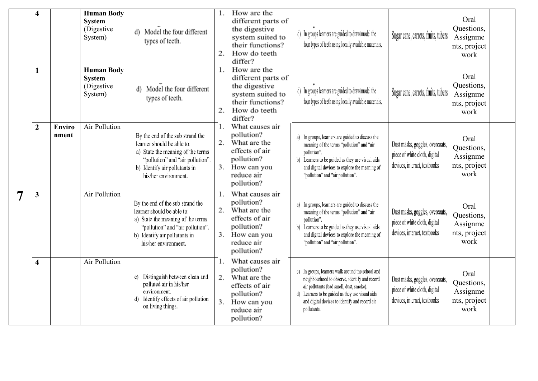|   | $\overline{\mathbf{4}}$ |                        | <b>Human Body</b><br><b>System</b><br>(Digestive)<br>System) | d) Model the four different<br>types of teeth.                                                                                                                                                   | 2.             | How are the<br>different parts of<br>the digestive<br>system suited to<br>their functions?<br>How do teeth<br>differ?          | d) In groups learners are guided to draw/model the<br>four types of teeth using locally available materials.                                                                                                                                                        | Sugar cane, carrots, fruits, tubers                                                              | Oral<br>Questions,<br>Assignme<br>nts, project<br>work |
|---|-------------------------|------------------------|--------------------------------------------------------------|--------------------------------------------------------------------------------------------------------------------------------------------------------------------------------------------------|----------------|--------------------------------------------------------------------------------------------------------------------------------|---------------------------------------------------------------------------------------------------------------------------------------------------------------------------------------------------------------------------------------------------------------------|--------------------------------------------------------------------------------------------------|--------------------------------------------------------|
|   | 1                       |                        | <b>Human Body</b><br><b>System</b><br>(Digestive<br>System)  | d) Model the four different<br>types of teeth.                                                                                                                                                   | 1.<br>2.       | How are the<br>different parts of<br>the digestive<br>system suited to<br>their functions?<br>How do teeth<br>differ?          | d) In groups learners are guided to draw/model the<br>four types of teeth using locally available materials.                                                                                                                                                        | Sugar cane, carrots, fruits, tubers                                                              | Oral<br>Questions,<br>Assignme<br>nts, project<br>work |
|   | $\overline{2}$          | <b>Enviro</b><br>nment | <b>Air Pollution</b>                                         | By the end of the sub strand the<br>learner should be able to:<br>a) State the meaning of the terms<br>"pollution" and "air pollution".<br>b) Identify air pollutants in<br>his/her environment. | 1.<br>2.       | What causes air<br>pollution?<br>What are the<br>effects of air<br>pollution?<br>3. How can you<br>reduce air<br>pollution?    | a) In groups, learners are guided to discuss the<br>meaning of the terms "pollution" and "air<br>pollution".<br>b) Learners to be guided as they use visual aids<br>and digital devices to explore the meaning of<br>"pollution" and "air pollution".               | Dust masks, goggles, overcoats,<br>piece of white cloth, digital<br>devices, internet, textbooks | Oral<br>Questions,<br>Assignme<br>nts, project<br>work |
| 7 | $\mathbf{3}$            |                        | Air Pollution                                                | By the end of the sub strand the<br>learner should be able to:<br>a) State the meaning of the terms<br>"pollution" and "air pollution".<br>b) Identify air pollutants in<br>his/her environment. | 1.             | What causes air<br>pollution?<br>2. What are the<br>effects of air<br>pollution?<br>3. How can you<br>reduce air<br>pollution? | a) In groups, learners are guided to discuss the<br>meaning of the terms "pollution" and "air<br>pollution".<br>b) Learners to be guided as they use visual aids<br>and digital devices to explore the meaning of<br>"pollution" and "air pollution".               | Dust masks, goggles, overcoats,<br>piece of white cloth, digital<br>devices, internet, textbooks | Oral<br>Questions,<br>Assignme<br>nts, project<br>work |
|   | $\overline{\mathbf{4}}$ |                        | Air Pollution                                                | c) Distinguish between clean and<br>polluted air in his/her<br>environment.<br>d) Identify effects of air pollution<br>on living things.                                                         | 1.<br>2.<br>3. | What causes air<br>pollution?<br>What are the<br>effects of air<br>pollution?<br>How can you<br>reduce air<br>pollution?       | c) In groups, learners walk around the school and<br>neighbourhood to observe, identify and record<br>air pollutants (bad smell, dust, smoke).<br>d) Learners to be guided as they use visual aids<br>and digital devices to identify and record air<br>pollutants. | Dust masks, goggles, overcoats,<br>piece of white cloth, digital<br>devices, internet, textbooks | Oral<br>Questions,<br>Assignme<br>nts, project<br>work |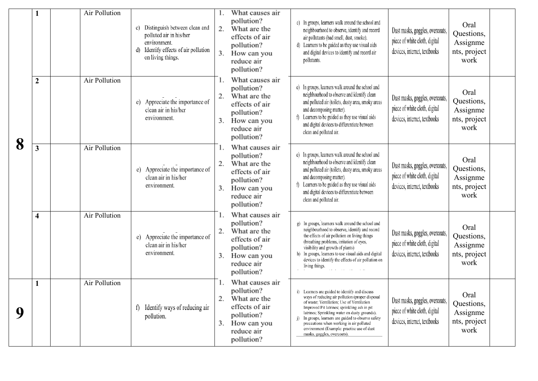|   |                         | Air Pollution | Distinguish between clean and<br>c)<br>polluted air in his/her<br>environment.<br>Identify effects of air pollution<br>d)<br>on living things. | What causes air<br>pollution?<br>What are the<br>2.<br>effects of air<br>pollution?<br>3.<br>How can you<br>reduce air<br>pollution? | c) In groups, learners walk around the school and<br>neighbourhood to observe, identify and record<br>air pollutants (bad smell, dust, smoke).<br>d) Learners to be guided as they use visual aids<br>and digital devices to identify and record air<br>pollutants.                                                                                                                                                          | Dust masks, goggles, overcoats,<br>piece of white cloth, digital<br>devices, internet, textbooks | Oral<br>Questions,<br>Assignme<br>nts, project<br>work |
|---|-------------------------|---------------|------------------------------------------------------------------------------------------------------------------------------------------------|--------------------------------------------------------------------------------------------------------------------------------------|------------------------------------------------------------------------------------------------------------------------------------------------------------------------------------------------------------------------------------------------------------------------------------------------------------------------------------------------------------------------------------------------------------------------------|--------------------------------------------------------------------------------------------------|--------------------------------------------------------|
| 8 | $\overline{2}$          | Air Pollution | e) Appreciate the importance of<br>clean air in his/her<br>environment.                                                                        | What causes air<br>pollution?<br>What are the<br>2.<br>effects of air<br>pollution?<br>How can you<br>3.<br>reduce air<br>pollution? | e) In groups, learners walk around the school and<br>neighbourhood to observe and identify clean<br>and polluted air (toilets, dusty area, smoky areas<br>and decomposing matter).<br>f) Learners to be guided as they use visual aids<br>and digital devices to differentiate between<br>clean and polluted air.                                                                                                            | Dust masks, goggles, overcoats,<br>piece of white cloth, digital<br>devices, internet, textbooks | Oral<br>Questions,<br>Assignme<br>nts, project<br>work |
|   | $\mathbf{3}$            | Air Pollution | e) Appreciate the importance of<br>clean air in his/her<br>environment.                                                                        | What causes air<br>pollution?<br>What are the<br>2.<br>effects of air<br>pollution?<br>How can you<br>3.<br>reduce air<br>pollution? | e) In groups, learners walk around the school and<br>neighbourhood to observe and identify clean<br>and polluted air (toilets, dusty area, smoky areas<br>and decomposing matter).<br>f) Learners to be guided as they use visual aids<br>and digital devices to differentiate between<br>clean and polluted air.                                                                                                            | Dust masks, goggles, overcoats,<br>piece of white cloth, digital<br>devices, internet, textbooks | Oral<br>Questions,<br>Assignme<br>nts, project<br>work |
|   | $\overline{\mathbf{4}}$ | Air Pollution | e) Appreciate the importance of<br>clean air in his/her<br>environment.                                                                        | What causes air<br>pollution?<br>What are the<br>2.<br>effects of air<br>pollution?<br>How can you<br>3.<br>reduce air<br>pollution? | g) In groups, learners walk around the school and<br>neighbourhood to observe, identify and record<br>the effects of air pollution on living things<br>(breathing problems, irritation of eyes,<br>visibility and growth of plants)<br>h) In groups, learners to use visual aids and digital<br>devices to identify the effects of air pollution on<br>living things.                                                        | Dust masks, goggles, overcoats,<br>piece of white cloth, digital<br>devices, internet, textbooks | Oral<br>Questions,<br>Assignme<br>nts, project<br>work |
| 9 |                         | Air Pollution | f) Identify ways of reducing air<br>pollution.                                                                                                 | What causes air<br>pollution?<br>What are the<br>2.<br>effects of air<br>pollution?<br>How can you<br>3.<br>reduce air<br>pollution? | i) Learners are guided to identify and discuss<br>ways of reducing air pollution (proper disposal<br>of waste; Ventilation; Use of Ventilation<br>Improved Pit latrines; sprinkling ash in pit<br>latrines; Sprinkling water on dusty grounds).<br>In groups, learners are guided to observe safety<br>precautions when working in air polluted<br>environment (Example: practise use of dust<br>masks, goggles, overcoats). | Dust masks, goggles, overcoats,<br>piece of white cloth, digital<br>devices, internet, textbooks | Oral<br>Questions,<br>Assignme<br>nts, project<br>work |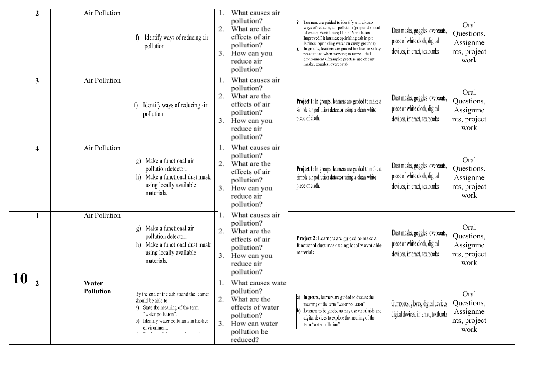|    | $\overline{2}$   | Air Pollution             | Identify ways of reducing air<br>pollution.                                                                                                                                         | 2.<br>3.       | What causes air<br>pollution?<br>What are the<br>effects of air<br>pollution?<br>How can you<br>reduce air<br>pollution?         | i) Learners are guided to identify and discuss<br>ways of reducing air pollution (proper disposal<br>of waste; Ventilation; Use of Ventilation<br>Improved Pit latrines; sprinkling ash in pit<br>latrines; Sprinkling water on dusty grounds).<br>In groups, learners are guided to observe safety<br>precautions when working in air polluted<br>environment (Example: practise use of dust<br>masks, goggles, overcoats). | Dust masks, goggles, overcoats,<br>piece of white cloth, digital<br>devices, internet, textbooks | Oral<br>Questions,<br>Assignme<br>nts, project<br>work |  |
|----|------------------|---------------------------|-------------------------------------------------------------------------------------------------------------------------------------------------------------------------------------|----------------|----------------------------------------------------------------------------------------------------------------------------------|------------------------------------------------------------------------------------------------------------------------------------------------------------------------------------------------------------------------------------------------------------------------------------------------------------------------------------------------------------------------------------------------------------------------------|--------------------------------------------------------------------------------------------------|--------------------------------------------------------|--|
|    | 3                | Air Pollution             | Identify ways of reducing air<br>f)<br>pollution.                                                                                                                                   | 2.<br>3.       | What causes air<br>pollution?<br>What are the<br>effects of air<br>pollution?<br>How can you<br>reduce air<br>pollution?         | Project 1: In groups, learners are guided to make a<br>simple air pollution detector using a clean white<br>piece of cloth.                                                                                                                                                                                                                                                                                                  | Dust masks, goggles, overcoats,<br>piece of white cloth, digital<br>devices, internet, textbooks | Oral<br>Questions,<br>Assignme<br>nts, project<br>work |  |
|    | 4                | Air Pollution             | Make a functional air<br>g)<br>pollution detector.<br>Make a functional dust mask<br>h)<br>using locally available<br>materials.                                                    | 1.<br>2.<br>3. | What causes air<br>pollution?<br>What are the<br>effects of air<br>pollution?<br>How can you<br>reduce air<br>pollution?         | Project 1: In groups, learners are guided to make a<br>simple air pollution detector using a clean white<br>piece of cloth.                                                                                                                                                                                                                                                                                                  | Dust masks, goggles, overcoats,<br>piece of white cloth, digital<br>devices, internet, textbooks | Oral<br>Questions,<br>Assignme<br>nts, project<br>work |  |
|    |                  | Air Pollution             | Make a functional air<br>g)<br>pollution detector.<br>Make a functional dust mask<br>h)<br>using locally available<br>materials.                                                    | 1.<br>2.       | What causes air<br>pollution?<br>What are the<br>effects of air<br>pollution?<br>3. How can you<br>reduce air<br>pollution?      | Project 2: Learners are guided to make a<br>functional dust mask using locally available<br>materials.                                                                                                                                                                                                                                                                                                                       | Dust masks, goggles, overcoats,<br>piece of white cloth, digital<br>devices, internet, textbooks | Oral<br>Questions,<br>Assignme<br>nts, project<br>work |  |
| 10 | $\boldsymbol{2}$ | Water<br><b>Pollution</b> | By the end of the sub strand the learner<br>should be able to:<br>a) State the meaning of the term<br>"water pollution".<br>b) Identify water pollutants in his/her<br>environment. | 2.             | What causes wate<br>pollution?<br>What are the<br>effects of water<br>pollution?<br>3. How can water<br>pollution be<br>reduced? | In groups, learners are guided to discuss the<br>meaning of the term "water pollution".<br>Learners to be guided as they use visual aids and<br>digital devices to explore the meaning of the<br>term "water pollution".                                                                                                                                                                                                     | Gumboots, gloves, digital devices<br>digital devices, internet, textbooks                        | Oral<br>Questions,<br>Assignme<br>nts, project<br>work |  |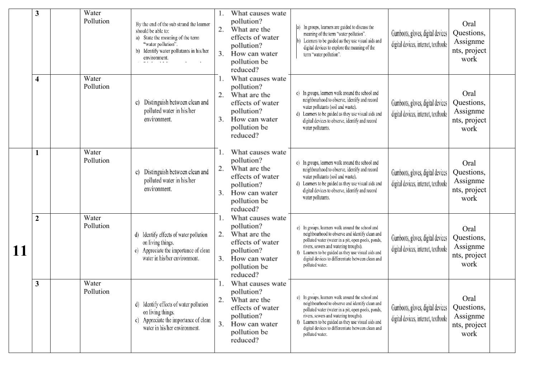|    | 3              | Water<br>Pollution | By the end of the sub strand the learner<br>should be able to:<br>a) State the meaning of the term<br>"water pollution".<br>b) Identify water pollutants in his/her<br>environment. | 2.<br>3. | What causes wate<br>pollution?<br>What are the<br>effects of water<br>pollution?<br>How can water<br>pollution be<br>reduced? | a) In groups, learners are guided to discuss the<br>meaning of the term "water pollution".<br>Learners to be guided as they use visual aids and<br>digital devices to explore the meaning of the<br>term "water pollution".                                                                                                          | Gumboots, gloves, digital devices<br>digital devices, internet, textbooks | Oral<br>Questions,<br>Assignme<br>nts, project<br>work |  |
|----|----------------|--------------------|-------------------------------------------------------------------------------------------------------------------------------------------------------------------------------------|----------|-------------------------------------------------------------------------------------------------------------------------------|--------------------------------------------------------------------------------------------------------------------------------------------------------------------------------------------------------------------------------------------------------------------------------------------------------------------------------------|---------------------------------------------------------------------------|--------------------------------------------------------|--|
|    | 4              | Water<br>Pollution | Distinguish between clean and<br>C)<br>polluted water in his/her<br>environment.                                                                                                    | 2.<br>3. | What causes wate<br>pollution?<br>What are the<br>effects of water<br>pollution?<br>How can water<br>pollution be<br>reduced? | c) In groups, learners walk around the school and<br>neighbourhood to observe, identify and record<br>water pollutants (soil and waste).<br>d) Learners to be guided as they use visual aids and<br>digital devices to observe, identify and record<br>water pollutants.                                                             | Gumboots, gloves, digital devices<br>digital devices, internet, textbooks | Oral<br>Questions,<br>Assignme<br>nts, project<br>work |  |
|    |                | Water<br>Pollution | Distinguish between clean and<br>C)<br>polluted water in his/her<br>environment.                                                                                                    | 2.<br>3. | What causes wate<br>pollution?<br>What are the<br>effects of water<br>pollution?<br>How can water<br>pollution be<br>reduced? | c) In groups, learners walk around the school and<br>neighbourhood to observe, identify and record<br>water pollutants (soil and waste).<br>d) Learners to be guided as they use visual aids and<br>digital devices to observe, identify and record<br>water pollutants.                                                             | Gumboots, gloves, digital devices<br>digital devices, internet, textbooks | Oral<br>Questions,<br>Assignme<br>nts, project<br>work |  |
| 11 | $\overline{2}$ | Water<br>Pollution | d) Identify effects of water pollution<br>on living things.<br>Appreciate the importance of clean<br>water in his/her environment.                                                  | 2.<br>3. | What causes wate<br>pollution?<br>What are the<br>effects of water<br>pollution?<br>How can water<br>pollution be<br>reduced? | e) In groups, learners walk around the school and<br>neighbourhood to observe and identify clean and<br>polluted water (water in a pit, open pools, ponds,<br>rivers, sewers and watering troughs).<br>f) Learners to be guided as they use visual aids and<br>digital devices to differentiate between clean and<br>polluted water. | Gumboots, gloves, digital devices<br>digital devices, internet, textbooks | Oral<br>Questions,<br>Assignme<br>nts, project<br>work |  |
|    | 3              | Water<br>Pollution | d) Identify effects of water pollution<br>on living things.<br>e) Appreciate the importance of clean<br>water in his/her environment.                                               | 2.<br>3. | What causes wate<br>pollution?<br>What are the<br>effects of water<br>pollution?<br>How can water<br>pollution be<br>reduced? | e) In groups, learners walk around the school and<br>neighbourhood to observe and identify clean and<br>polluted water (water in a pit, open pools, ponds,<br>rivers, sewers and watering troughs).<br>f) Learners to be guided as they use visual aids and<br>digital devices to differentiate between clean and<br>polluted water. | Gumboots, gloves, digital devices<br>digital devices, internet, textbooks | Oral<br>Questions,<br>Assignme<br>nts, project<br>work |  |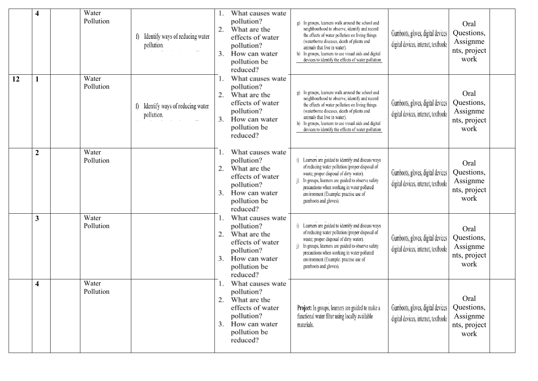|    | $\overline{\mathbf{4}}$ | Water<br>Pollution | f) Identify ways of reducing water<br>pollution. | 2.<br>3. | What causes wate<br>pollution?<br>What are the<br>effects of water<br>pollution?<br>How can water<br>pollution be<br>reduced? | g) In groups, learners walk around the school and<br>neighbourhood to observe, identify and record<br>the effects of water pollution on living things<br>(waterborne diseases, death of plants and<br>animals that live in water).<br>h) In groups, learners to use visual aids and digital<br>devices to identify the effects of water pollution | Gumboots, gloves, digital devices<br>digital devices, internet, textbooks | Oral<br>Questions,<br>Assignme<br>nts, project<br>work |
|----|-------------------------|--------------------|--------------------------------------------------|----------|-------------------------------------------------------------------------------------------------------------------------------|---------------------------------------------------------------------------------------------------------------------------------------------------------------------------------------------------------------------------------------------------------------------------------------------------------------------------------------------------|---------------------------------------------------------------------------|--------------------------------------------------------|
| 12 | $\mathbf{1}$            | Water<br>Pollution | f) Identify ways of reducing water<br>pollution. | 3.       | What causes wate<br>pollution?<br>What are the<br>effects of water<br>pollution?<br>How can water<br>pollution be<br>reduced? | g) In groups, learners walk around the school and<br>neighbourhood to observe, identify and record<br>the effects of water pollution on living things<br>(waterborne diseases, death of plants and<br>animals that live in water).<br>h) In groups, learners to use visual aids and digital<br>devices to identify the effects of water pollution | Gumboots, gloves, digital devices<br>digital devices, internet, textbooks | Oral<br>Questions,<br>Assignme<br>nts, project<br>work |
|    | $\boldsymbol{2}$        | Water<br>Pollution |                                                  | 3.       | What causes wate<br>pollution?<br>What are the<br>effects of water<br>pollution?<br>How can water<br>pollution be<br>reduced? | i) Learners are guided to identify and discuss ways<br>of reducing water pollution (proper disposal of<br>waste; proper disposal of dirty water).<br>In groups, learners are guided to observe safety<br>i)<br>precautions when working in water polluted<br>environment (Example: practise use of<br>gumboots and gloves).                       | Gumboots, gloves, digital devices<br>digital devices, internet, textbooks | Oral<br>Questions,<br>Assignme<br>nts, project<br>work |
|    | $\mathbf{3}$            | Water<br>Pollution |                                                  | 2.<br>3. | What causes wate<br>pollution?<br>What are the<br>effects of water<br>pollution?<br>How can water<br>pollution be<br>reduced? | i) Learners are guided to identify and discuss ways<br>of reducing water pollution (proper disposal of<br>waste; proper disposal of dirty water).<br>In groups, learners are guided to observe safety<br>i)<br>precautions when working in water polluted<br>environment (Example: practise use of<br>gumboots and gloves).                       | Gumboots, gloves, digital devices<br>digital devices, internet, textbooks | Oral<br>Questions,<br>Assignme<br>nts, project<br>work |
|    | $\overline{\mathbf{4}}$ | Water<br>Pollution |                                                  | 3.       | What causes wate<br>pollution?<br>What are the<br>effects of water<br>pollution?<br>How can water<br>pollution be<br>reduced? | Project: In groups, learners are guided to make a<br>functional water filter using locally available<br>materials.                                                                                                                                                                                                                                | Gumboots, gloves, digital devices<br>digital devices, internet, textbooks | Oral<br>Questions,<br>Assignme<br>nts, project<br>work |